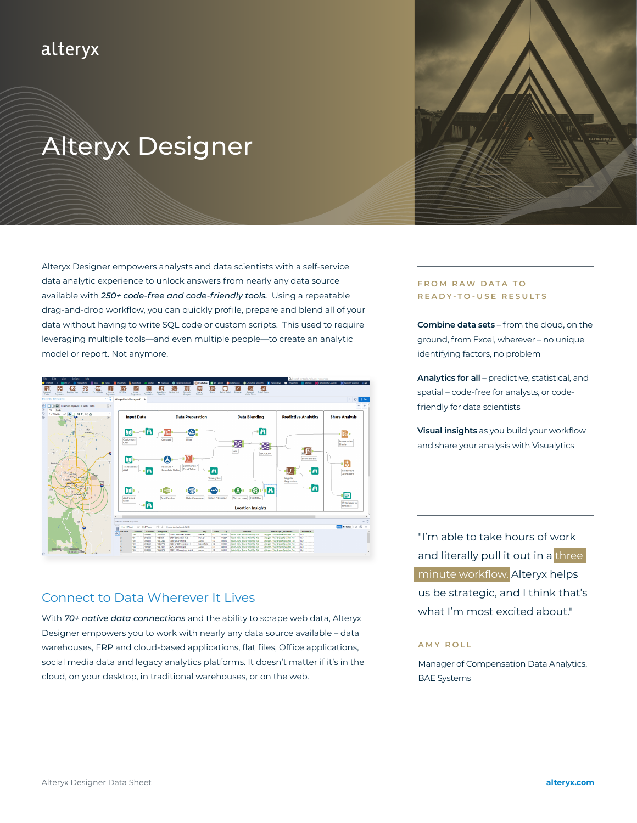# alteryx

# Alteryx Designer

Alteryx Designer empowers analysts and data scientists with a self-service data analytic experience to unlock answers from nearly any data source available with *[250+ code-free and code-friendly tools](https://help.alteryx.com/current/Getting_Started/ToolCategories.htm).* Using a repeatable drag-and-drop workflow, you can quickly profile, prepare and blend all of your data without having to write SQL code or custom scripts. This used to require leveraging multiple tools—and even multiple people—to create an analytic model or report. Not anymore.



# Connect to Data Wherever It Lives

With *[70+ native data connections](https://help.alteryx.com/current/DataSources/SupportedDataSources.htm?tocpath=Data%20Sources%7CSupported%20Data%20Sources%7C_____0)* and the ability to scrape web data, Alteryx Designer empowers you to work with nearly any data source available – data warehouses, ERP and cloud-based applications, flat files, Office applications, social media data and legacy analytics platforms. It doesn't matter if it's in the cloud, on your desktop, in traditional warehouses, or on the web.

# **FROM RAW DATA TO READY-TO-USE RESULTS**

**Combine data sets** – from the cloud, on the ground, from Excel, wherever – no unique identifying factors, no problem

**Analytics for all** – predictive, statistical, and spatial – code-free for analysts, or codefriendly for data scientists

**Visual insights** as you build your workflow and share your analysis with Visualytics

"I'm able to take hours of work and literally pull it out in a three minute workflow. Alteryx helps us be strategic, and I think that's what I'm most excited about."

#### **AMY ROLL**

Manager of Compensation Data Analytics, BAE Systems